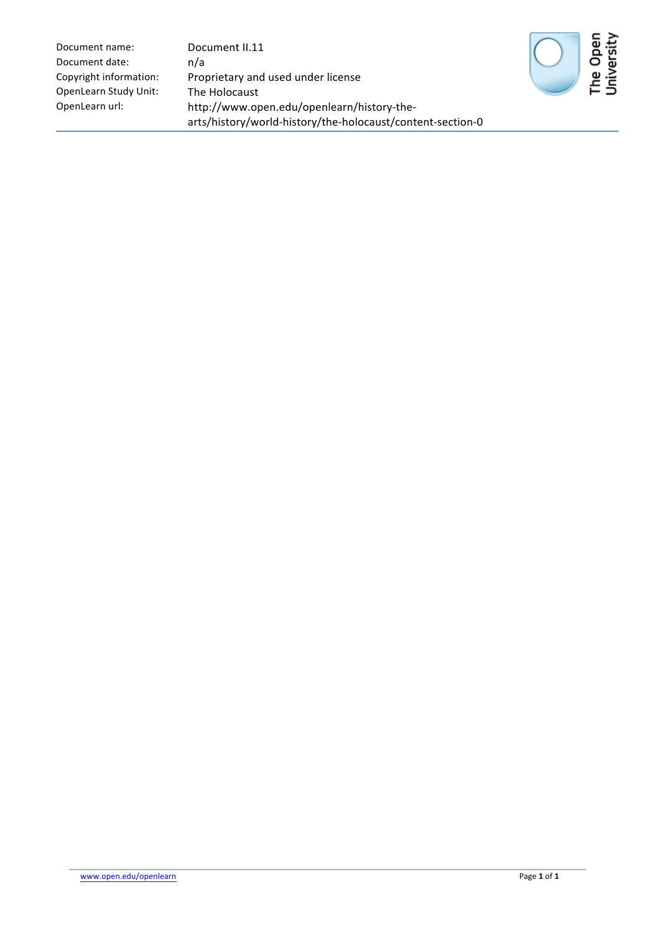| Document name:         | Document II.11                                             |  |
|------------------------|------------------------------------------------------------|--|
| Document date:         | n/a                                                        |  |
| Copyright information: | Proprietary and used under license                         |  |
| OpenLearn Study Unit:  | The Holocaust                                              |  |
| OpenLearn url:         | http://www.open.edu/openlearn/history-the-                 |  |
|                        | arts/history/world-history/the-holocaust/content-section-0 |  |



The Open<br>University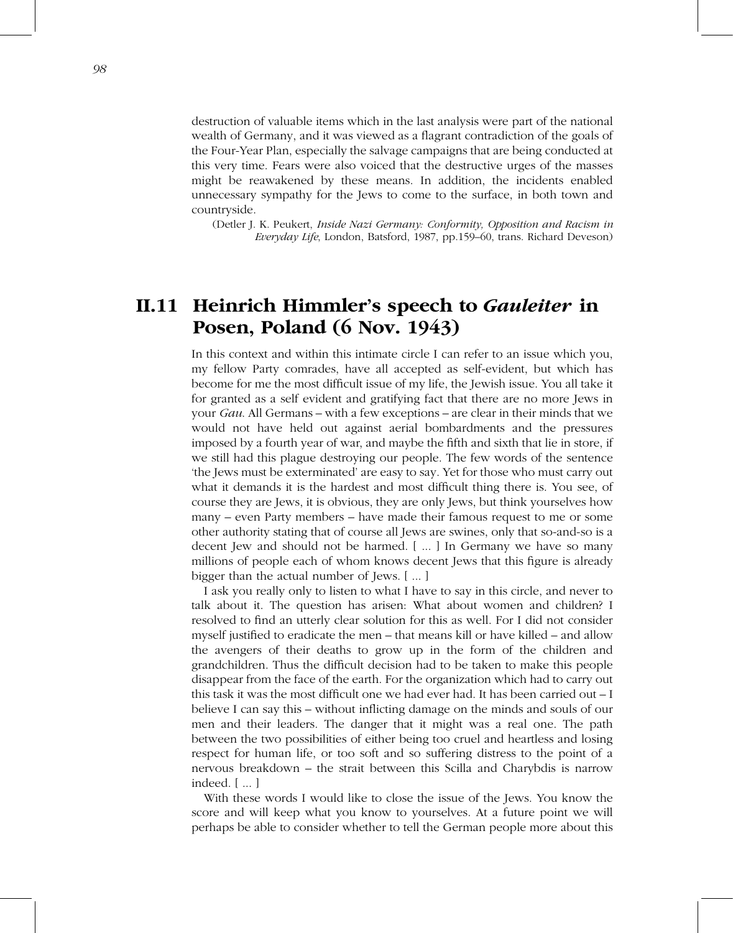## n<br>II.11 Heinrich Himmler's speech to *Gauleiter* in Heinrich Himmler's speech<br>Posen, Poland (6 Nov. 1943) **Heinrich Himmler's speech to** *Gauleiter* **in**<br>**Posen, Poland (6 Nov. 1943)**<br>In this context and within this intimate circle I can refer to an issue which you,  $\bf \mu$ **EINTICN HIMMIET'S SpeeCN tO Gauletter in**<br> **osen, Poland (6 Nov. 1943)**<br>
this context and within this intimate circle I can refer to an issue which you,<br>
fellow Party comrades, have all accepted as self-evident, but which

**Posen, Poland (6 Nov. 1943)**<br>In this context and within this intimate circle I can refer to an issue which you,<br>my fellow Party comrades, have all accepted as self-evident, but which has<br>become for me the most difficult i This context and within this intimate circle I can refer to an issue which you, <br>
I fellow Party comrades, have all accepted as self-evident, but which has<br>
come for me the most difficult issue of my life, the Jewish issu In this context and within this intimate circle I can refer to an issue which you, is context and within this intimate circle I can refer to an issue which you, fellow Party comrades, have all accepted as self-evident, but which has me for me the most difficult issue of my life, the Jewish issue. You al my fellow Party comrades, have all accepted as self-evident, but which has<br>become for me the most difficult issue of my life, the Jewish issue. You all take it<br>for granted as a self evident and gratifying fact that there a become for me the most difficult issue of my life, the Jewish issue. You all take it<br>for granted as a self evident and gratifying fact that there are no more Jews in<br>your *Gau*. All Germans – with a few exceptions – are cl for granted as a self evident and gratifying fact that there are no more Jews in granted as a self evident and gratifying fact that there are no more Jews in<br>
11 *Gau*. All Germans – with a few exceptions – are clear in their minds that we<br>
uuld not have held out against aerial bombardments and the pre your *Gau*. All Germans – with a few exceptions – are clear in their minds that we would not have held out against aerial bombardments and the pressures imposed by a fourth year of war, and maybe the fifth and sixth that l would not have held out against aerial bombardments and the pressures<br>imposed by a fourth year of war, and maybe the fifth and sixth that lie in store, if<br>we still had this plague destroying our people. The few words of th imposed by a fourth year of war, and maybe the fifth and sixth that lie in store, if<br>we still had this plague destroying our people. The few words of the sentence<br>'the Jews must be exterminated' are easy to say. Yet for th we still had this plague destroying our people. The few words of the sentence<br>
"the Jews must be exterminated' are easy to say. Yet for those who must carry out<br>
what it demands it is the hardest and most difficult thing t 'the Jews must be exterminated' are easy to say. Yet for those who must carry out what it demands it is the hardest and most difficult thing there is. You see, of course they are Jews, it is obvious, they are only Jews, bu what it demands it is the hardest and most difficult thing there is. You see, of course they are Jews, it is obvious, they are only Jews, but think yourselves how many – even Party members – have made their famous request course they are Jews, it is obvious, they are only Jews, but think yourselves how<br>many – even Party members – have made their famous request to me or some<br>other authority stating that of course all Jews are swines, only th many – even Party members – have made th<br>other authority stating that of course all Jews<br>decent Jew and should not be harmed. [...<br>millions of people each of whom knows dee<br>bigger than the actual number of Jews. [...] her authority stating that of course all Jews are swines, only that so-and-so is a<br>ccent Jew and should not be harmed. [...] In Germany we have so many<br>lllions of people each of whom knows decent Jews that this figure is a decent Jew and should not be harmed. [ ... ] In Germany we have so many<br>millions of people each of whom knows decent Jews that this figure is already<br>bigger than the actual number of Jews. [ ... ]<br>I ask you really only to millions of people each of whom knows decent Jews that this figure is already bigger than the actual number of Jews.  $[$  ...  $]$ 

of people each of whom knows decent Jews that this figure is already<br>
van the actual number of Jews. [...]<br>
vou really only to listen to what I have to say in this circle, and never to<br>
ut it. The question has arisen: What than the actual number of Jews.  $[...]$ <br>  $k$  you really only to listen to what I have to say in this circle, and never to<br>
bout it. The question has arisen: What about women and children? I<br>
ed to find an utterly clear solu  $\blacksquare$ ask you really only to listen to what I have to say in this circle, and never to about it. The question has arisen: What about women and children? I olved to find an utterly clear solution for this as well. For I did not talk about it. The question has arisen: What about women and children? I<br>resolved to find an utterly clear solution for this as well. For I did not consider<br>myself justified to eradicate the men – that means kill or have k resolved to find an utterly clear solution for this as well. For I did not consider myself justified to eradicate the men – that means kill or have killed – and allow the avengers of their deaths to grow up in the form of myself justified to eradicate the men – that means kill or have killed – and allow<br>the avengers of their deaths to grow up in the form of the children and<br>grandchildren. Thus the difficult decision had to be taken to make the avengers of their deaths to grow up in the form of the children and<br>grandchildren. Thus the difficult decision had to be taken to make this people<br>disappear from the face of the earth. For the organization which had to grandchildren. Thus the difficult decision had to be taken to make this people dchildren. Thus the difficult decision had to be taken to make this people<br>oppear from the face of the earth. For the organization which had to carry out<br>task it was the most difficult one we had ever had. It has been carr disappear from the face of the earth. For the organization which had to carry out<br>this task it was the most difficult one we had ever had. It has been carried out – I<br>believe I can say this – without inflicting damage on t this task it was the most difficult one we had ever had. It has been carried out – I<br>believe I can say this – without inflicting damage on the minds and souls of our<br>men and their leaders. The danger that it might was a re believe I can say this – without inflicting damage on the minds and souls of our<br>men and their leaders. The danger that it might was a real one. The path<br>between the two possibilities of either being too cruel and heartles men and the<br>between the<br>respect for h<br>nervous brea<br>indeed. [ ... ] tween the two possibilities of either being too cruel and heartless and losing<br>spect for human life, or too soft and so suffering distress to the point of a<br>rrvous breakdown – the strait between this Scilla and Charybdis i respect for human life, or too soft and so suffering distress to the point of a<br>nervous breakdown – the strait between this Scilla and Charybdis is narrow<br>indeed. [...]<br>With these words I would like to close the issue of t

nervous breakdown – the strait between this Scilla and Charybdis is narrow<br>indeed. [...]<br>With these words I would like to close the issue of the Jews. You know the<br>score and will keep what you know to yourselves. At a futu